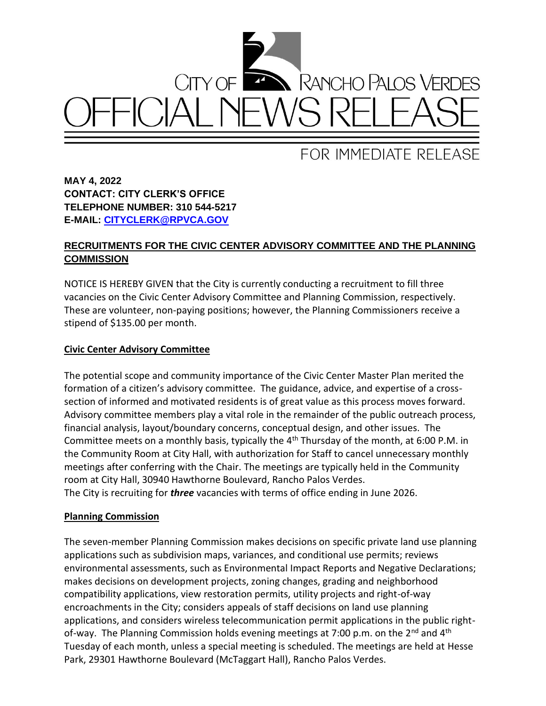

# FOR IMMEDIATE RELEASE

**MAY 4, 2022 CONTACT: CITY CLERK'S OFFICE TELEPHONE NUMBER: 310 544-5217 E-MAIL: [CITYCLERK@RPVCA.GOV](mailto:CITYCLERK@RPVCA.GOV)**

## **RECRUITMENTS FOR THE CIVIC CENTER ADVISORY COMMITTEE AND THE PLANNING COMMISSION**

NOTICE IS HEREBY GIVEN that the City is currently conducting a recruitment to fill three vacancies on the Civic Center Advisory Committee and Planning Commission, respectively. These are volunteer, non-paying positions; however, the Planning Commissioners receive a stipend of \$135.00 per month.

### **Civic Center Advisory Committee**

The potential scope and community importance of the Civic Center Master Plan merited the formation of a citizen's advisory committee. The guidance, advice, and expertise of a crosssection of informed and motivated residents is of great value as this process moves forward. Advisory committee members play a vital role in the remainder of the public outreach process, financial analysis, layout/boundary concerns, conceptual design, and other issues. The Committee meets on a monthly basis, typically the  $4<sup>th</sup>$  Thursday of the month, at 6:00 P.M. in the Community Room at City Hall, with authorization for Staff to cancel unnecessary monthly meetings after conferring with the Chair. The meetings are typically held in the Community room at City Hall, 30940 Hawthorne Boulevard, Rancho Palos Verdes. The City is recruiting for *three* vacancies with terms of office ending in June 2026.

#### **Planning Commission**

The seven-member Planning Commission makes decisions on specific private land use planning applications such as subdivision maps, variances, and conditional use permits; reviews environmental assessments, such as Environmental Impact Reports and Negative Declarations; makes decisions on development projects, zoning changes, grading and neighborhood compatibility applications, view restoration permits, utility projects and right-of-way encroachments in the City; considers appeals of staff decisions on land use planning applications, and considers wireless telecommunication permit applications in the public rightof-way. The Planning Commission holds evening meetings at 7:00 p.m. on the  $2^{nd}$  and  $4^{th}$ Tuesday of each month, unless a special meeting is scheduled. The meetings are held at Hesse Park, 29301 Hawthorne Boulevard (McTaggart Hall), Rancho Palos Verdes.